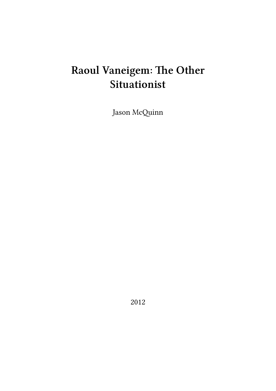# **Raoul Vaneigem: The Other Situationist**

Jason McQuinn

2012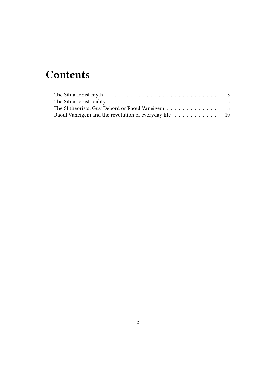## **Contents**

| The Situationist myth $\dots \dots \dots \dots \dots \dots \dots \dots \dots \dots \dots$ |  |
|-------------------------------------------------------------------------------------------|--|
|                                                                                           |  |
| The SI theorists: Guy Debord or Raoul Vaneigem 8                                          |  |
| Raoul Vaneigem and the revolution of everyday life 10                                     |  |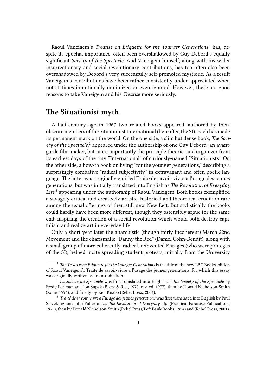Raoul Vaneigem's *Treatise on Etiquette for the Younger Generations*<sup>1</sup> has, despite its epochal importance, often been overshadowed by Guy Debord's equally significant *Society of the Spectacle*. And Vaneigem himself, along with his wider insurrectionary and social-revolutionary contributions, has too often also been overshadowed by Debord's very successfully self-promoted mystique. As a result Vaneigem's contributions have been rather consistently under-appreciated when not at times intentionally minimized or even ignored. However, there are good reasons to take Vaneigem and his *Treatise* more seriously.

#### <span id="page-2-0"></span>**The Situationist myth**

A half-century ago in 1967 two related books appeared, authored by thenobscure members of the Situationist International (hereafter, the SI). Each has made its permanent mark on the world. On the one side, a slim but dense book, *The Soci*ety of the Spectacle,<sup>2</sup> appeared under the authorship of one Guy Debord-an avantgarde film-maker, but more importantly the principle theorist and organizer from its earliest days of the tiny "International" of curiously-named "Situationists." On the other side, a how-to book on living "for the younger generations," describing a surprisingly combative "radical subjectivity" in extravagant and often poetic language. The latter was originally entitled Traite de savoir-vivre a l'usage des jeunes generations, but was initially translated into English as *The Revolution of Everyday Life*, 3 appearing under the authorship of Raoul Vaneigem. Both books exemplified a savagely critical and creatively artistic, historical and theoretical erudition rare among the usual offerings of then still new New Left. But stylistically the books could hardly have been more different, though they ostensibly argue for the same end: inspiring the creation of a social revolution which would both destroy capitalism and realize art in everyday life!

Only a short year later the anarchistic (though fairly incoherent) March 22nd Movement and the charismatic "Danny the Red" (Daniel Cohn-Bendit), along with a small group of more coherently-radical, reinvented Enrages (who were proteges of the SI), helped incite spreading student protests, initially from the University

<sup>&</sup>lt;sup>1</sup> *The Treatise on Etiquette for the Younger Generations* is the title of the new LBC Books edition of Raoul Vaneigem's Traite de savoir-vivre a l'usage des jeunes generations, for which this essay was originally written as an introduction.

<sup>2</sup> *La Societe du Spectacle* was first translated into English as *The Society of the Spectacle* by Fredy Perlman and Jon Supak (Black & Red, 1970; rev. ed. 1977), then by Donald Nicholson-Smith (Zone, 1994), and finally by Ken Knabb (Rebel Press, 2004).

<sup>3</sup> *Traité de savoir-vivre a l'usage des jeunes generations* was first translated into English by Paul Sieveking and John Fullerton as *The Revolution of Everyday Life* (Practical Paradise Publications, 1979), then by Donald Nicholson-Smith (Rebel Press/Left Bank Books, 1994) and (Rebel Press, 2001).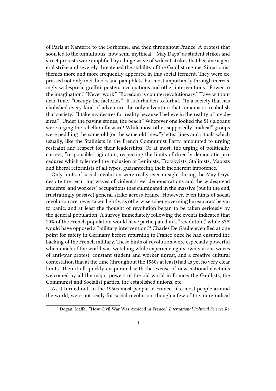of Paris at Nanterre to the Sorbonne, and then throughout France. A protest that soon led to the tumultuous–now semi-mythical–"May Days" as student strikes and street protests were amplified by a huge wave of wildcat strikes that became a general strike and severely threatened the stability of the Gaullist regime. Situationist themes more and more frequently appeared in this social ferment. They were expressed not only in SI books and pamphlets, but most importantly through increasingly widespread graffiti, posters, occupations and other interventions. "Power to the imagination." "Never work." "Boredom is counterrevolutionary." "Live without dead time." "Occupy the factories." "It is forbidden to forbid." "In a society that has abolished every kind of adventure the only adventure that remains is to abolish that society." "I take my desires for reality because I believe in the reality of my desires." "Under the paving stones, the beach." Wherever one looked the SI's slogans were urging the rebellion forward! While most other supposedly "radical" groups were peddling the same old (or the same old "new") leftist lines and rituals which usually, like the Stalinists in the French Communist Party, amounted to urging restraint and respect for their leaderships. Or at most, the urging of politicallycorrect, "responsible" agitation, respecting the limits of directly democratic procedures which tolerated the inclusion of Leninists, Trotskyists, Stalinists, Maoists and liberal reformists of all types, guaranteeing their incoherent impotence.

Only hints of social revolution were really ever in sight during the May Days, despite the recurring waves of violent street demonstrations and the widespread students' and workers' occupations that culminated in the massive (but in the end, frustratingly passive) general strike across France. However, even hints of social revolution are never taken lightly, as otherwise sober governing bureaucrats began to panic, and at least the thought of revolution began to be taken seriously by the general population. A survey immediately following the events indicated that 20% of the French population would have participated in a "revolution," while 33% would have opposed a "military intervention."<sup>4</sup> Charles De Gaulle even fled at one point for safety in Germany before returning to France once he had ensured the backing of the French military. These hints of revolution were especially powerful when much of the world was watching while experiencing its own various waves of anti-war protest, constant student and worker unrest, and a creative cultural contestation that at the time (throughout the 1960s at least) had as yet no very clear limits. Then it all quickly evaporated with the excuse of new national elections welcomed by all the major powers of the old world in France: the Gaullists, the Communist and Socialist parties, the established unions, etc.

As it turned out, in the 1960s most people in France, like most people around the world, were not ready for social revolution, though a few of the more radical

<sup>4</sup> Dogan, Maffei. "How Civil War Was Avoided in France." *International Political Science Re-*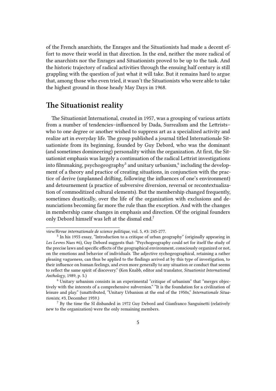of the French anarchists, the Enrages and the Situationists had made a decent effort to move their world in that direction. In the end, neither the more radical of the anarchists nor the Enrages and Situationists proved to be up to the task. And the historic trajectory of radical activities through the ensuing half century is still grappling with the question of just what it will take. But it remains hard to argue that, among those who even tried, it wasn't the Situationists who were able to take the highest ground in those heady May Days in 1968.

### **The Situationist reality**

The Situationist International, created in 1957, was a grouping of various artists from a number of tendencies–influenced by Dada, Surrealism and the Lettrists– who to one degree or another wished to suppress art as a specialized activity and realize art in everyday life. The group published a journal titled Internationale Situationiste from its beginning, founded by Guy Debord, who was the dominant (and sometimes domineering) personality within the organization. At first, the Situationist emphasis was largely a continuation of the radical Lettrist investigations into filmmaking, psychogeography $^5$  and unitary urbanism, $^6$  including the development of a theory and practice of creating situations, in conjunction with the practice of derive (unplanned drifting, following the influences of one's environment) and detournement (a practice of subversive diversion, reversal or recontextualization of commoditized cultural elements). But the membership changed frequently, sometimes drastically, over the life of the organization with exclusions and denunciations becoming far more the rule than the exception. And with the changes in membership came changes in emphasis and direction. Of the original founders only Debord himself was left at the dismal end.<sup>7</sup>

*view/Revue internationale de science politique*, vol. 5, #3: 245-277.

<sup>&</sup>lt;sup>5</sup> In his 1955 essay, "Introduction to a critique of urban geography" (originally appearing in *Les Levres Nues* #6), Guy Debord suggests that: "Psychogeography could set for itself the study of the precise laws and specific effects of the geographical environment, consciously organized or not, on the emotions and behavior of individuals. The adjective sychogeographical, retaining a rather pleasing vagueness, can thus be applied to the findings arrived at by this type of investigation, to their influence on human feelings, and even more generally to any situation or conduct that seems to reflect the same spirit of discovery." (Ken Knabb, editor and translator, *Situationist International Anthology*, 1989, p. 5.)

<sup>6</sup> Unitary urbanism consists in an experimental "critique of urbanism" that "merges objectively with the interests of a comprehensive subversion." "It is the foundation for a civilization of leisure and play." (unattributed, "Unitary Urbanism at the end of the 1950s," *Internationale Situationiste*, #3, December 1959.)

<sup>7</sup> By the time the SI disbanded in 1972 Guy Debord and Gianfranco Sanguinetti (relatively new to the organization) were the only remaining members.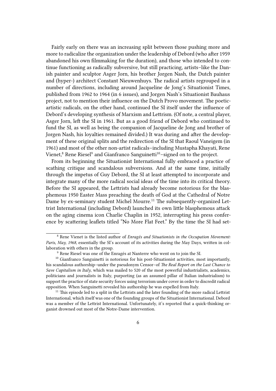Fairly early on there was an increasing split between those pushing more and more to radicalize the organization under the leadership of Debord (who after 1959 abandoned his own filmmaking for the duration), and those who intended to continue functioning as radically subversive, but still practicing, artists–like the Danish painter and sculptor Asger Jorn, his brother Jorgen Nash, the Dutch painter and (hyper-) architect Constant Nieuwenhuys. The radical artists regrouped in a number of directions, including around Jacqueline de Jong's Situationist Times, published from 1962 to 1964 (in 6 issues), and Jorgen Nash's Situationist Bauhaus project, not to mention their influence on the Dutch Provo movement. The poeticartistic radicals, on the other hand, continued the SI itself under the influence of Debord's developing synthesis of Marxism and Lettrism. (Of note, a central player, Asger Jorn, left the SI in 1961. But as a good friend of Debord who continued to fund the SI, as well as being the companion of Jacqueline de Jong and brother of Jorgen Nash, his loyalties remained divided.) It was during and after the development of these original splits and the redirection of the SI that Raoul Vaneigem (in 1961) and most of the other non-artist radicals–including Mustapha Khayati, Rene Vienet, $^8$  Rene Riesel $^9$  and Gianfranco Sanguinetti $^{10}$ –signed on to the project.

From its beginning the Situationist International fully embraced a practice of scathing critique and scandalous subversions. And at the same time, initially through the impetus of Guy Debord, the SI at least attempted to incorporate and integrate many of the more radical social ideas of the time into its critical theory. Before the SI appeared, the Lettrists had already become notorious for the blasphemous 1950 Easter Mass preaching the death of God at the Cathedral of Notre Dame by ex-seminary student Michel Mourre.<sup>11</sup> The subsequently-organized Lettrist International (including Debord) launched its own little blasphemous attack on the aging cinema icon Charlie Chaplin in 1952, interrupting his press conference by scattering leaflets titled "No More Flat Feet." By the time the SI had set-

<sup>8</sup> Rene Vienet is the listed author of *Enragés and Situationists in the Occupation Movement: Paris, May, 1968*, essentially the SI's account of its activities during the May Days, written in collaboration with others in the group.

 $^9$  Rene Riesel was one of the Enragés at Nanterre who went on to join the SI.

<sup>&</sup>lt;sup>10</sup> Gianfranco Sanguinetti is notorious for his post-Situationist activities, most importantly, his scandalous authorship–under the pseudonym Censor–of *The Real Report on the Last Chance to Save Capitalism in Italy*, which was mailed to 520 of the most powerful industrialists, academics, politicians and journalists in Italy, purporting (as an assumed pillar of Italian industrialism) to support the practice of state security forces using terrorism under cover in order to discredit radical opposition. When Sanguinetti revealed his authorship he was expelled from Italy.

 $11$  This episode led to a split in the Lettrists and the later founding of the more radical Lettrist International, which itself was one of the founding groups of the Situationist International. Debord was a member of the Lettrist International. Unfortunately, it's reported that a quick-thinking organist drowned out most of the Notre-Dame intervention.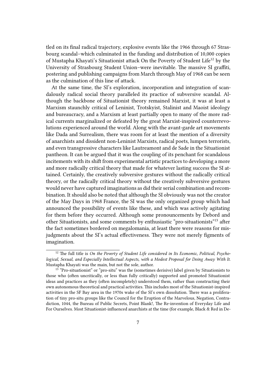tled on its final radical trajectory, explosive events like the 1966 through 67 Strasbourg scandal–which culminated in the funding and distribution of 10,000 copies of Mustapha Khayati's Situationist attack On the Poverty of Student Life<sup>12</sup> by the University of Strasbourg Student Union–were inevitable. The massive SI graffiti, postering and publishing campaigns from March through May of 1968 can be seen as the culmination of this line of attack.

At the same time, the SI's exploration, incorporation and integration of scandalously radical social theory paralleled its practice of subversive scandal. Although the backbone of Situationist theory remained Marxist, it was at least a Marxism staunchly critical of Leninist, Trotskyist, Stalinist and Maoist ideology and bureaucracy, and a Marxism at least partially open to many of the more radical currents marginalized or defeated by the great Marxist-inspired counterrevolutions experienced around the world. Along with the avant-garde art movements like Dada and Surrealism, there was room for at least the mention of a diversity of anarchists and dissident non-Leninist Marxists, radical poets, lumpen terrorists, and even transgressive characters like Lautreamont and de Sade in the Situationist pantheon. It can be argued that it was the coupling of its penchant for scandalous incitements with its shift from experimental artistic practices to developing a more and more radically critical theory that made for whatever lasting success the SI attained. Certainly, the creatively subversive gestures without the radically critical theory, or the radically critical theory without the creatively subversive gestures would never have captured imaginations as did their serial combination and recombination. It should also be noted that although the SI obviously was not the creator of the May Days in 1968 France, the SI was the only organized group which had announced the possibility of events like these, and which was actively agitating for them before they occurred. Although some pronouncements by Debord and other Situationists, and some comments by enthusiastic "pro-situationists"<sup>13</sup> after the fact sometimes bordered on megalomania, at least there were reasons for misjudgments about the SI's actual effectiveness. They were not merely figments of imagination.

<sup>&</sup>lt;sup>12</sup> The full title is *On the Poverty of Student Life considered in Its Economic, Political, Psychological, Sexual, and Especially Intellectual Aspects, with a Modest Proposal for Doing Away With It*. Mustapha Khayati was the main, but not the sole, author.

<sup>&</sup>lt;sup>13</sup> "Pro-situationist" or "pro-situ" was the (sometimes derisive) label given by Situationists to those who (often uncritically, or less than fully critically) supported and promoted Situationist ideas and practices as they (often incompletely) understood them, rather than constructing their own autonomous theoretical and practical activities. This includes most of the Situationist-inspired activities in the SF Bay area in the 1970s wake of the SI's own dissolution. There was a proliferation of tiny pro-situ groups like the Council for the Eruption of the Marvelous, Negation, Contradiction, 1044, the Bureau of Public Secrets, Point Blank!, The Re-invention of Everyday Life and For Ourselves. Most Situationist-influenced anarchists at the time (for example, Black & Red in De-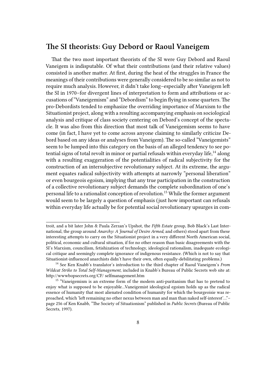### **The SI theorists: Guy Debord or Raoul Vaneigem**

That the two most important theorists of the SI were Guy Debord and Raoul Vaneigem is indisputable. Of what their contributions (and their relative values) consisted is another matter. At first, during the heat of the struggles in France the meanings of their contributions were generally considered to be so similar as not to require much analysis. However, it didn't take long–especially after Vaneigem left the SI in 1970–for divergent lines of interpretation to form and attributions or accusations of "Vaneigemism" and "Debordism" to begin flying in some quarters. The pro-Debordists tended to emphasize the overriding importance of Marxism to the Situationist project, along with a resulting accompanying emphasis on sociological analysis and critique of class society centering on Debord's concept of the spectacle. It was also from this direction that most talk of Vaneigemism seems to have come (in fact, I have yet to come across anyone claiming to similarly criticize Debord based on any ideas or analyses from Vaneigem). The so-called "Vaneigemists" seem to be lumped into this category on the basis of an alleged tendency to see potential signs of total revolt in minor or partial refusals within everyday life, $14$  along with a resulting exaggeration of the potentialities of radical subjectivity for the construction of an intersubjective revolutionary subject. At its extreme, the argument equates radical subjectivity with attempts at narrowly "personal liberation" or even bourgeois egoism, implying that any true participation in the construction of a collective revolutionary subject demands the complete subordination of one's personal life to a rationalist conception of revolution.<sup>15</sup> While the former argument would seem to be largely a question of emphasis (just how important can refusals within everyday life actually be for potential social revolutionary upsurges in com-

troit, and a bit later John & Paula Zerzan's Upshot, the *Fifth Estate* group, Bob Black's Last International, the group around *Anarchy: A Journal of Desire Armed*, and others) stood apart from these interesting attempts to carry on the Situationist project in a very different North American social, political, economic and cultural situation, if for no other reason than basic disagreements with the SI's Marxism, councilism, fetishization of technology, ideological rationalism, inadequate ecological critique and seemingly complete ignorance of indigenous resistance. (Which is not to say that Situationist-influenced anarchists didn't have their own, often equally-debilitating problems.)

<sup>14</sup> See Ken Knabb's translator's introduction to the third chapter of Raoul Vaneigem's *From Wildcat Strike to Total Self-Management*, included in Knabb's Bureau of Public Secrets web site at: http://wwwbopsecrets.org/CF/ selfmanagement.htm

<sup>&</sup>lt;sup>15</sup> "Vaneigemism is an extreme form of the modern anti-puritanism that has to pretend to enjoy what is supposed to be enjoyable…Vaneigemist ideological egoism holds up as the radical essence of humanity that most alienated condition of humanity for which the bourgeoisie was reproached, which 'left remaining no other nexus between man and man than naked self-interest'…"– page 256 of Ken Knabb, "The Society of Situationism" published in *Public Secrets* (Bureau of Public Secrets, 1997).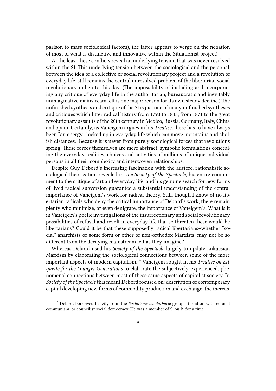parison to mass sociological factors), the latter appears to verge on the negation of most of what is distinctive and innovative within the Situationist project!

At the least these conflicts reveal an underlying tension that was never resolved within the SI. This underlying tension between the sociological and the personal, between the idea of a collective or social revolutionary project and a revolution of everyday life, still remains the central unresolved problem of the libertarian social revolutionary milieu to this day. (The impossibility of including and incorporating any critique of everyday life in the authoritarian, bureaucratic and inevitably unimaginative mainstream left is one major reason for its own steady decline.) The unfinished synthesis and critique of the SI is just one of many unfinished syntheses and critiques which litter radical history from 1793 to 1848, from 1871 to the great revolutionary assaults of the 20th century in Mexico, Russia, Germany, Italy, China and Spain. Certainly, as Vaneigem argues in his *Treatise*, there has to have always been "an energy…locked up in everyday life which can move mountains and abolish distances." Because it is never from purely sociological forces that revolutions spring. These forces themselves are mere abstract, symbolic formulations concealing the everyday realities, choices and activities of millions of unique individual persons in all their complexity and interwoven relationships.

Despite Guy Debord's increasing fascination with the austere, rationalistic sociological theorization revealed in *The Society of the Spectacle*, his entire commitment to the critique of art and everyday life, and his genuine search for new forms of lived radical subversion guarantee a substantial understanding of the central importance of Vaneigem's work for radical theory. Still, though I know of no libertarian radicals who deny the critical importance of Debord's work, there remain plenty who minimize, or even denigrate, the importance of Vaneigem's. What is it in Vaneigem's poetic investigations of the insurrectionary and social revolutionary possibilities of refusal and revolt in everyday life that so threaten these would-be libertarians? Could it be that these supposedly radical libertarians–whether "social" anarchists or some form or other of non-orthodox Marxists–may not be so different from the decaying mainstream left as they imagine?

Whereas Debord used his *Society of the Spectacle* largely to update Lukacsian Marxism by elaborating the sociological connections between some of the more important aspects of modern capitalism,<sup>16</sup> Vaneigem sought in his *Treatise on Etiquette for the Younger Generations* to elaborate the subjectively-experienced, phenomenal connections between most of these same aspects of capitalist society. In *Society of the Spectacle* this meant Debord focused on: description of contemporary capital developing new forms of commodity production and exchange, the increas-

<sup>16</sup> Debord borrowed heavily from the *Socialisme ou Barbarie* group's flirtation with council communism, or councilist social democracy. He was a member of S. ou B. for a time.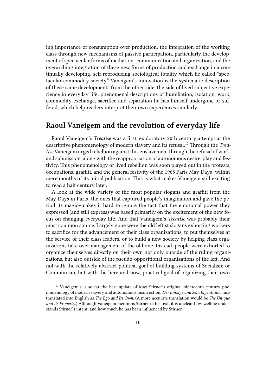ing importance of consumption over production, the integration of the working class through new mechanisms of passive participation, particularly the development of spectacular forms of mediation -communication and organization, and the overarching integration of these new forms of production and exchange in a continually developing, self-reproducing sociological totality which he called "spectacular commodity society." Vaneigem's innovation is the systematic description of these same developments from the other side, the side of lived subjective experience in everyday life: phenomenal descriptions of humiliation, isolation, work, commodity exchange, sacrifice and separation he has himself undergone or suffered, which help readers interpret their own experiences similarly.

#### **Raoul Vaneigem and the revolution of everyday life**

Raoul Vaneigem's *Treatise* was a first, exploratory 20th century attempt at the descriptive phenomenology of modern slavery and its refusal.<sup>17</sup> Through the *Treatise* Vaneigem urged rebellion against this enslavement through the refusal of work and submission, along with the reappropriation of autonomous desire, play and festivity. This phenomenology of lived rebellion was soon played out in the protests, occupations, graffiti, and the general festivity of the 1968 Paris May Days–within mere months of its initial publication. This is what makes Vaneigem still exciting to read a half century later.

A look at the wide variety of the most popular slogans and graffiti from the May Days in Paris–the ones that captured people's imagination and gave the period its magic–makes it hard to ignore the fact that the emotional power they expressed (and still express) was based primarily on the excitement of the new focus on changing everyday life. And that Vaneigem's *Treatise* was probably their most common source. Largely gone were the old leftist slogans exhorting workers to sacrifice for the advancement of their class organizations, to put themselves at the service of their class leaders, or to build a new society by helping class organizations take over management of the old one. Instead, people were exhorted to organize themselves directly on their own not only outside of the ruling organizations, but also outside of the pseudo-oppositional organizations of the left. And not with the relatively abstract political goal of building systems of Socialism or Communism, but with the here and now, practical goal of organizing their own

 $17$  Vaneigem's is so far the best update of Max Stirner's original nineteenth century phenomenology of modern slavery and autonomous insurrection, *Der Einzige and Sein Eigenthum*, mistranslated into English as *The Ego and Its Own*. (A more accurate translation would be *The Unique and Its Property*.) Although Vaneigem mentions Stirner in his text, it is unclear how well he understands Stirner's intent, and how much he has been influenced by Stirner.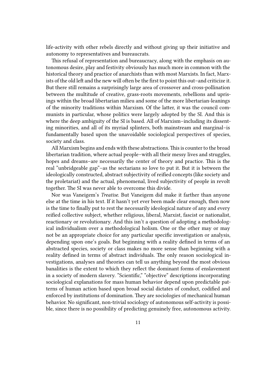life-activity with other rebels directly and without giving up their initiative and autonomy to representatives and bureaucrats.

This refusal of representation and bureaucracy, along with the emphasis on autonomous desire, play and festivity obviously has much more in common with the historical theory and practice of anarchists than with most Marxists. In fact, Marxists of the old left and the new will often be the first to point this out–and criticize it. But there still remains a surprisingly large area of crossover and cross-pollination between the multitude of creative, grass-roots movements, rebellions and uprisings within the broad libertarian milieu and some of the more libertarian-leanings of the minority traditions within Marxism. Of the latter, it was the council communists in particular, whose politics were largely adopted by the SI. And this is where the deep ambiguity of the SI is based. All of Marxism–including its dissenting minorities, and all of its myriad splinters, both mainstream and marginal–is fundamentally based upon the unavoidable sociological perspectives of species, society and class.

All Marxism begins and ends with these abstractions.This is counter to the broad libertarian tradition, where actual people–with all their messy lives and struggles, hopes and dreams–are necessarily the center of theory and practice. This is the real "unbridgeable gap"–as the sectarians so love to put it. But it is between the ideologically constructed, abstract subjectivity of reified concepts (like society and the proletariat) and the actual, phenomenal, lived subjectivity of people in revolt together. The SI was never able to overcome this divide.

Nor was Vaneigem's *Treatise*. But Vaneigem did make it farther than anyone else at the time in his text. If it hasn't yet ever been made clear enough, then now is the time to finally put to rest the necessarily ideological nature of any and every reified collective subject, whether religious, liberal, Marxist, fascist or nationalist, reactionary or revolutionary. And this isn't a question of adopting a methodological individualism over a methodological holism. One or the other may or may not be an appropriate choice for any particular specific investigation or analysis, depending upon one's goals. But beginning with a reality defined in terms of an abstracted species, society or class makes no more sense than beginning with a reality defined in terms of abstract individuals. The only reason sociological investigations, analyses and theories can tell us anything beyond the most obvious banalities is the extent to which they reflect the dominant forms of enslavement in a society of modern slavery. "Scientific," "objective" descriptions incorporating sociological explanations for mass human behavior depend upon predictable patterns of human action based upon broad social dictates of conduct, codified and enforced by institutions of domination. They are sociologies of mechanical human behavior. No significant, non-trivial sociology of autonomous self-activity is possible, since there is no possibility of predicting genuinely free, autonomous activity.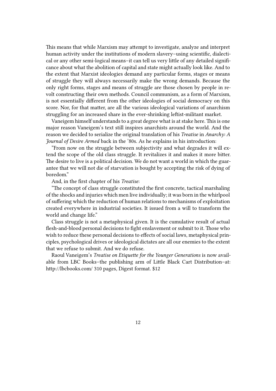This means that while Marxism may attempt to investigate, analyze and interpret human activity under the institutions of modern slavery–using scientific, dialectical or any other semi-logical means–it can tell us very little of any detailed significance about what the abolition of capital and state might actually look like. And to the extent that Marxist ideologies demand any particular forms, stages or means of struggle they will always necessarily make the wrong demands. Because the only right forms, stages and means of struggle are those chosen by people in revolt constructing their own methods. Council communism, as a form of Marxism, is not essentially different from the other ideologies of social democracy on this score. Nor, for that matter, are all the various ideological variations of anarchism struggling for an increased share in the ever-shrinking leftist-militant market.

Vaneigem himself understands to a great degree what is at stake here. This is one major reason Vaneigem's text still inspires anarchists around the world. And the reason we decided to serialize the original translation of his *Treatise* in *Anarchy: A Journal of Desire Armed* back in the '80s. As he explains in his introduction:

"From now on the struggle between subjectivity and what degrades it will extend the scope of the old class struggle. It revitalizes it and makes it more bitter. The desire to live is a political decision. We do not want a world in which the guarantee that we will not die of starvation is bought by accepting the risk of dying of boredom."

#### And, in the first chapter of his *Treatise*:

"The concept of class struggle constituted the first concrete, tactical marshaling of the shocks and injuries which men live individually; it was born in the whirlpool of suffering which the reduction of human relations to mechanisms of exploitation created everywhere in industrial societies. It issued from a will to transform the world and change life."

Class struggle is not a metaphysical given. It is the cumulative result of actual flesh-and-blood personal decisions to fight enslavement or submit to it. Those who wish to reduce these personal decisions to effects of social laws, metaphysical principles, psychological drives or ideological dictates are all our enemies to the extent that we refuse to submit. And we do refuse.

Raoul Vaneigem's *Treatise on Etiquette for the Younger Generations* is now available from LBC Books–the publishing arm of Little Black Cart Distribution–at: http://lbcbooks.com/ 310 pages, Digest format. \$12